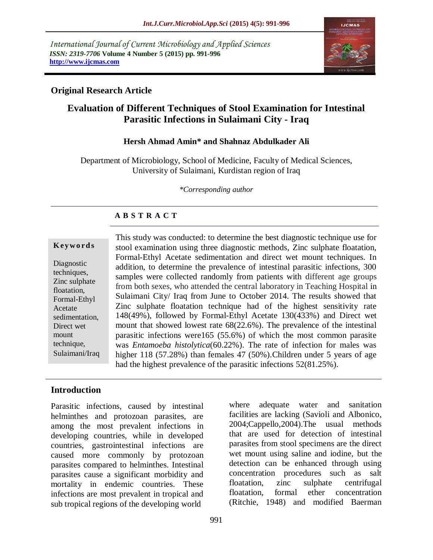*International Journal of Current Microbiology and Applied Sciences ISSN: 2319-7706* **Volume 4 Number 5 (2015) pp. 991-996 http://www.ijcmas.com** 



### **Original Research Article**

# **Evaluation of Different Techniques of Stool Examination for Intestinal Parasitic Infections in Sulaimani City - Iraq**

#### **Hersh Ahmad Amin\* and Shahnaz Abdulkader Ali**

Department of Microbiology, School of Medicine, Faculty of Medical Sciences, University of Sulaimani, Kurdistan region of Iraq

*\*Corresponding author*

## **A B S T R A C T**

#### **K ey w o rd s**

Diagnostic techniques, Zinc sulphate floatation, Formal-Ethyl Acetate sedimentation, Direct wet mount technique, Sulaimani/Iraq This study was conducted: to determine the best diagnostic technique use for stool examination using three diagnostic methods, Zinc sulphate floatation, Formal-Ethyl Acetate sedimentation and direct wet mount techniques. In addition, to determine the prevalence of intestinal parasitic infections, 300 samples were collected randomly from patients with different age groups from both sexes, who attended the central laboratory in Teaching Hospital in Sulaimani City/ Iraq from June to October 2014. The results showed that Zinc sulphate floatation technique had of the highest sensitivity rate 148(49%), followed by Formal-Ethyl Acetate 130(433%) and Direct wet mount that showed lowest rate 68(22.6%). The prevalence of the intestinal parasitic infections were165 (55.6%) of which the most common parasite was *Entamoeba histolytica*(60.22%). The rate of infection for males was higher 118 (57.28%) than females 47 (50%). Children under 5 years of age had the highest prevalence of the parasitic infections 52(81.25%).

### **Introduction**

Parasitic infections, caused by intestinal helminthes and protozoan parasites, are among the most prevalent infections in developing countries, while in developed countries, gastrointestinal infections are caused more commonly by protozoan parasites compared to helminthes. Intestinal parasites cause a significant morbidity and mortality in endemic countries. These infections are most prevalent in tropical and sub tropical regions of the developing world

where adequate water and sanitation facilities are lacking (Savioli and Albonico, 2004;Cappello,2004).The usual methods that are used for detection of intestinal parasites from stool specimens are the direct wet mount using saline and iodine, but the detection can be enhanced through using concentration procedures such as salt floatation, zinc sulphate centrifugal floatation, formal ether concentration (Ritchie, 1948) and modified Baerman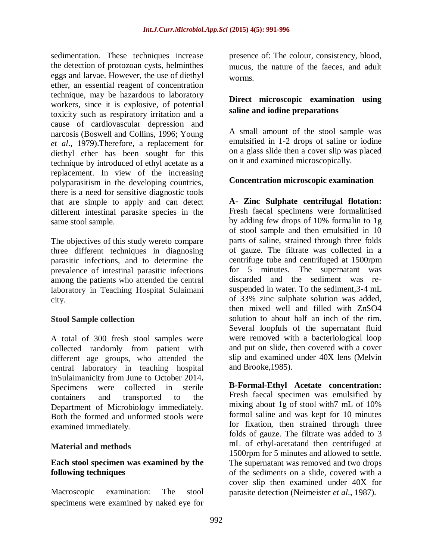sedimentation. These techniques increase the detection of protozoan cysts, helminthes eggs and larvae. However, the use of diethyl ether, an essential reagent of concentration technique, may be hazardous to laboratory workers, since it is explosive, of potential toxicity such as respiratory irritation and a cause of cardiovascular depression and narcosis (Boswell and Collins, 1996; Young *et al*., 1979).Therefore, a replacement for diethyl ether has been sought for this technique by introduced of ethyl acetate as a replacement. In view of the increasing polyparasitism in the developing countries, there is a need for sensitive diagnostic tools that are simple to apply and can detect different intestinal parasite species in the same stool sample.

The objectives of this study wereto compare three different techniques in diagnosing parasitic infections, and to determine the prevalence of intestinal parasitic infections among the patients who attended the central laboratory in Teaching Hospital Sulaimani city.

#### **Stool Sample collection**

A total of 300 fresh stool samples were collected randomly from patient with different age groups, who attended the central laboratory in teaching hospital inSulaimanicity from June to October 2014**.**  Specimens were collected in sterile containers and transported to the Department of Microbiology immediately. Both the formed and unformed stools were examined immediately.

#### **Material and methods**

### **Each stool specimen was examined by the following techniques**

Macroscopic examination: The stool specimens were examined by naked eye for presence of: The colour, consistency, blood, mucus, the nature of the faeces, and adult worms.

### **Direct microscopic examination using saline and iodine preparations**

A small amount of the stool sample was emulsified in 1-2 drops of saline or iodine on a glass slide then a cover slip was placed on it and examined microscopically.

### **Concentration microscopic examination**

**A- Zinc Sulphate centrifugal flotation:**  Fresh faecal specimens were formalinised by adding few drops of 10% formalin to 1g of stool sample and then emulsified in 10 parts of saline, strained through three folds of gauze. The filtrate was collected in a centrifuge tube and centrifuged at 1500rpm for 5 minutes. The supernatant was discarded and the sediment was resuspended in water. To the sediment,3-4 mL of 33% zinc sulphate solution was added, then mixed well and filled with ZnSO4 solution to about half an inch of the rim. Several loopfuls of the supernatant fluid were removed with a bacteriological loop and put on slide, then covered with a cover slip and examined under 40X lens (Melvin and Brooke,1985).

**B-Formal-Ethyl Acetate concentration:**  Fresh faecal specimen was emulsified by mixing about 1g of stool with7 mL of 10% formol saline and was kept for 10 minutes for fixation, then strained through three folds of gauze. The filtrate was added to 3 mL of ethyl-acetatand then centrifuged at 1500rpm for 5 minutes and allowed to settle. The supernatant was removed and two drops of the sediments on a slide, covered with a cover slip then examined under 40X for parasite detection (Neimeister *et al*., 1987).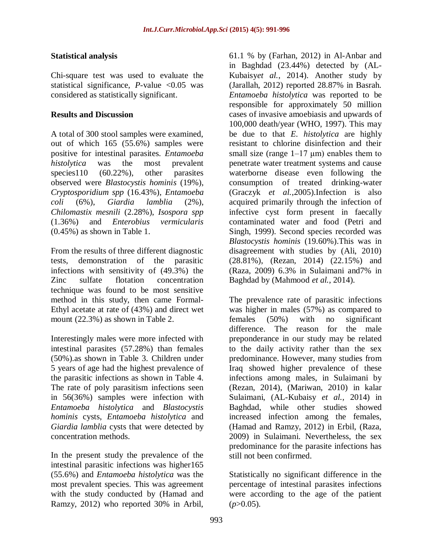#### **Statistical analysis**

Chi-square test was used to evaluate the statistical significance, *P*-value <0.05 was considered as statistically significant.

### **Results and Discussion**

A total of 300 stool samples were examined, out of which 165 (55.6%) samples were positive for intestinal parasites. *Entamoeba histolytica* was the most prevalent species 110 (60.22%), other parasites observed were *Blastocystis hominis* (19%), *Cryptosporidium spp* (16.43%)*, Entamoeba coli* (6%), *Giardia lamblia* (2%), *Chilomastix mesnili* (2.28%), *Isospora spp* (1.36%) and *Enterobius vermicularis* (0.45%) as shown in Table 1.

From the results of three different diagnostic tests, demonstration of the parasitic infections with sensitivity of (49.3%) the Zinc sulfate flotation concentration technique was found to be most sensitive method in this study, then came Formal-Ethyl acetate at rate of (43%) and direct wet mount (22.3%) as shown in Table 2.

Interestingly males were more infected with intestinal parasites (57.28%) than females (50%).as shown in Table 3. Children under 5 years of age had the highest prevalence of the parasitic infections as shown in Table 4. The rate of poly parasitism infections seen in 56(36%) samples were infection with *Entamoeba histolytica* and *Blastocystis hominis* cysts, *Entamoeba histolytica* and *Giardia lamblia* cysts that were detected by concentration methods.

In the present study the prevalence of the intestinal parasitic infections was higher165 (55.6%) and *Entamoeba histolytica* was the most prevalent species. This was agreement with the study conducted by (Hamad and Ramzy, 2012) who reported 30% in Arbil,

61.1 % by (Farhan, 2012) in Al-Anbar and in Baghdad (23.44%) detected by (AL-Kubaisy*et al.*, 2014). Another study by (Jarallah, 2012) reported 28.87% in Basrah. *Entamoeba histolytica* was reported to be responsible for approximately 50 million cases of invasive amoebiasis and upwards of 100,000 death/year (WHO, 1997). This may be due to that *E. histolytica* are highly resistant to chlorine disinfection and their small size (range  $1-17 \text{ }\mu\text{m}$ ) enables them to penetrate water treatment systems and cause waterborne disease even following the consumption of treated drinking-water (Graczyk *et al.*,2005).Infection is also acquired primarily through the infection of infective cyst form present in faecally contaminated water and food (Petri and Singh, 1999). Second species recorded was *Blastocystis hominis* (19.60%).This was in disagreement with studies by (Ali, 2010) (28.81%), (Rezan, 2014) (22.15%) and (Raza, 2009) 6.3% in Sulaimani and7% in Baghdad by (Mahmood *et al.*, 2014).

The prevalence rate of parasitic infections was higher in males (57%) as compared to females (50%) with no significant difference. The reason for the male preponderance in our study may be related to the daily activity rather than the sex predominance. However, many studies from Iraq showed higher prevalence of these infections among males, in Sulaimani by (Rezan, 2014), (Mariwan, 2010) in kalar Sulaimani, (AL-Kubaisy *et al.,* 2014) in Baghdad, while other studies showed increased infection among the females, (Hamad and Ramzy, 2012) in Erbil, (Raza, 2009) in Sulaimani. Nevertheless, the sex predominance for the parasite infections has still not been confirmed.

Statistically no significant difference in the percentage of intestinal parasites infections were according to the age of the patient  $(p>0.05)$ .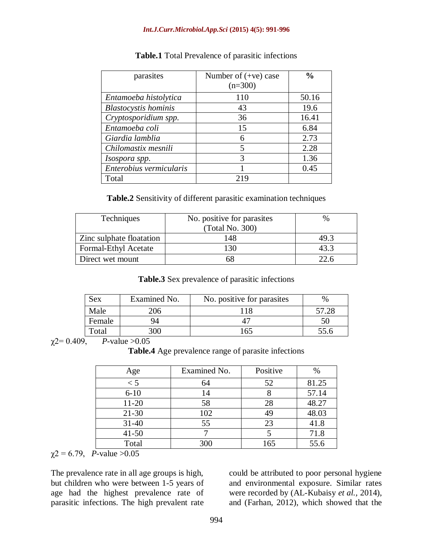| parasites                   | Number of $(+ve)$ case | $\frac{0}{0}$ |
|-----------------------------|------------------------|---------------|
|                             | $(n=300)$              |               |
| Entamoeba histolytica       | 110                    | 50.16         |
| <b>Blastocystis</b> hominis | 43                     | 19.6          |
| Cryptosporidium spp.        | 36                     | 16.41         |
| Entamoeba coli              | 15                     | 6.84          |
| Giardia lamblia             | 6                      | 2.73          |
| Chilomastix mesnili         | 5                      | 2.28          |
| Isospora spp.               | 3                      | 1.36          |
| Enterobius vermicularis     |                        | 0.45          |
| Total                       | 219                    |               |

| <b>Table.1</b> Total Prevalence of parasitic infections |  |  |  |
|---------------------------------------------------------|--|--|--|
|---------------------------------------------------------|--|--|--|

**Table.2** Sensitivity of different parasitic examination techniques

| Techniques               | No. positive for parasites | $\%$ |
|--------------------------|----------------------------|------|
|                          | (Total No. 300)            |      |
| Zinc sulphate floatation | 148                        | 49.3 |
| Formal-Ethyl Acetate     |                            | 43.3 |
| Direct wet mount         |                            | 22.6 |

**Table.3** Sex prevalence of parasitic infections

| Sex    | Examined No. | No. positive for parasites | $\%$  |
|--------|--------------|----------------------------|-------|
| Male   | 206          |                            | 57.28 |
| Female | 94           |                            | 50    |
| Total  | ነU           | 65                         |       |

 $\chi$ 2= 0.409, *P*-value > 0.05

**Table.4** Age prevalence range of parasite infections

| Age       | Examined No. | Positive | %     |
|-----------|--------------|----------|-------|
| $\lt 5$   | 64           | 52       | 81.25 |
| $6 - 10$  | 14           |          | 57.14 |
| $11-20$   | 58           | 28       | 48.27 |
| $21 - 30$ | 102          | 49       | 48.03 |
| $31 - 40$ | 55           | 23       | 41.8  |
| $41 - 50$ |              |          | 71.8  |
| Total     | 300          | 165      | 55.6  |

 $\chi$ <sup>2</sup> = 6.79, *P*-value > 0.05

The prevalence rate in all age groups is high, but children who were between 1-5 years of age had the highest prevalence rate of parasitic infections. The high prevalent rate

could be attributed to poor personal hygiene and environmental exposure. Similar rates were recorded by (AL-Kubaisy *et al.,* 2014), and (Farhan, 2012), which showed that the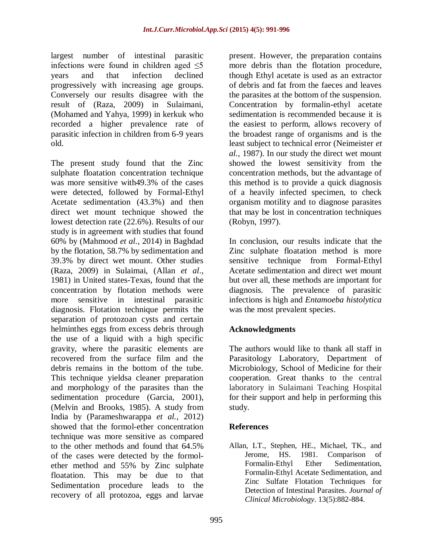largest number of intestinal parasitic infections were found in children aged  $\leq$ years and that infection declined progressively with increasing age groups. Conversely our results disagree with the result of (Raza, 2009) in Sulaimani, (Mohamed and Yahya, 1999) in kerkuk who recorded a higher prevalence rate of parasitic infection in children from 6-9 years old.

The present study found that the Zinc sulphate floatation concentration technique was more sensitive with49.3% of the cases were detected, followed by Formal-Ethyl Acetate sedimentation (43.3%) and then direct wet mount technique showed the lowest detection rate (22.6%). Results of our study is in agreement with studies that found 60% by (Mahmood *et al.*, 2014) in Baghdad by the flotation, 58.7% by sedimentation and 39.3% by direct wet mount. Other studies (Raza, 2009) in Sulaimai, (Allan *et al*., 1981) in United states-Texas, found that the concentration by flotation methods were more sensitive in intestinal parasitic diagnosis. Flotation technique permits the separation of protozoan cysts and certain helminthes eggs from excess debris through the use of a liquid with a high specific gravity, where the parasitic elements are recovered from the surface film and the debris remains in the bottom of the tube. This technique yieldsa cleaner preparation and morphology of the parasites than the sedimentation procedure (Garcia, 2001), (Melvin and Brooks, 1985). A study from India by (Parameshwarappa *et al.*, 2012) showed that the formol-ether concentration technique was more sensitive as compared to the other methods and found that 64.5% of the cases were detected by the formolether method and 55% by Zinc sulphate floatation. This may be due to that Sedimentation procedure leads to the recovery of all protozoa, eggs and larvae

present. However, the preparation contains more debris than the flotation procedure, though Ethyl acetate is used as an extractor of debris and fat from the faeces and leaves the parasites at the bottom of the suspension. Concentration by formalin-ethyl acetate sedimentation is recommended because it is the easiest to perform, allows recovery of the broadest range of organisms and is the least subject to technical error (Neimeister *et al.,* 1987). In our study the direct wet mount showed the lowest sensitivity from the concentration methods, but the advantage of this method is to provide a quick diagnosis of a heavily infected specimen, to check organism motility and to diagnose parasites that may be lost in concentration techniques (Robyn, 1997).

In conclusion, our results indicate that the Zinc sulphate floatation method is more sensitive technique from Formal-Ethyl Acetate sedimentation and direct wet mount but over all, these methods are important for diagnosis. The prevalence of parasitic infections is high and *Entamoeba histolytica* was the most prevalent species.

### **Acknowledgments**

The authors would like to thank all staff in Parasitology Laboratory, Department of Microbiology, School of Medicine for their cooperation. Great thanks to the central laboratory in Sulaimani Teaching Hospital for their support and help in performing this study.

### **References**

Allan, LT., Stephen, HE., Michael, TK., and Jerome, HS. 1981. Comparison of Formalin-Ethyl Ether Sedimentation, Formalin-Ethyl Acetate Sedimentation, and Zinc Sulfate Flotation Techniques for Detection of Intestinal Parasites. *Journal of Clinical Microbiology*. 13(5):882-884.